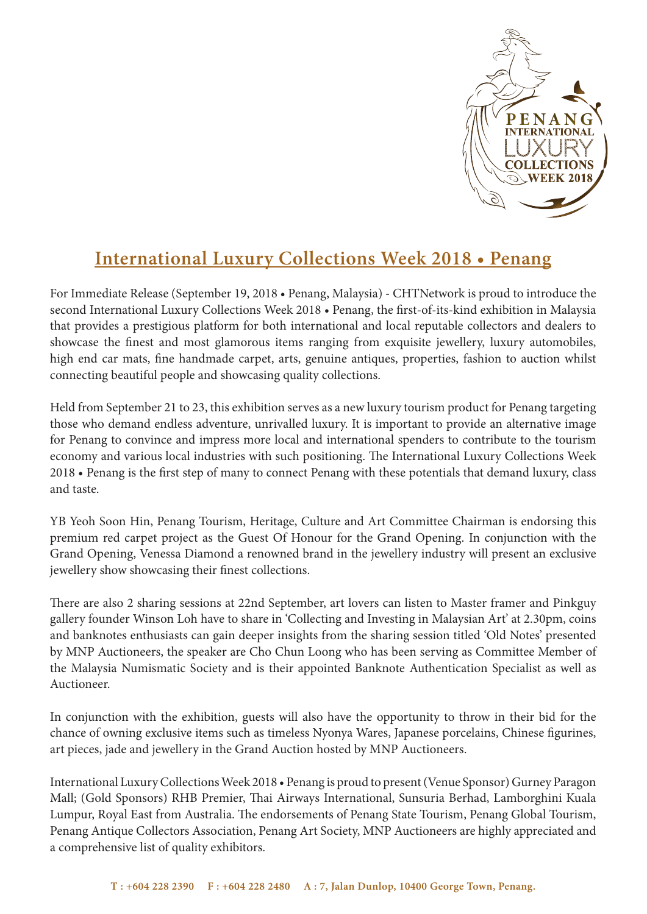

## **International Luxury Collections Week 2018 • Penang**

For Immediate Release (September 19, 2018 • Penang, Malaysia) - CHTNetwork is proud to introduce the second International Luxury Collections Week 2018 • Penang, the first-of-its-kind exhibition in Malaysia that provides a prestigious platform for both international and local reputable collectors and dealers to showcase the finest and most glamorous items ranging from exquisite jewellery, luxury automobiles, high end car mats, fine handmade carpet, arts, genuine antiques, properties, fashion to auction whilst connecting beautiful people and showcasing quality collections.

Held from September 21 to 23, this exhibition serves as a new luxury tourism product for Penang targeting those who demand endless adventure, unrivalled luxury. It is important to provide an alternative image for Penang to convince and impress more local and international spenders to contribute to the tourism economy and various local industries with such positioning. The International Luxury Collections Week 2018 • Penang is the first step of many to connect Penang with these potentials that demand luxury, class and taste.

YB Yeoh Soon Hin, Penang Tourism, Heritage, Culture and Art Committee Chairman is endorsing this premium red carpet project as the Guest Of Honour for the Grand Opening. In conjunction with the Grand Opening, Venessa Diamond a renowned brand in the jewellery industry will present an exclusive jewellery show showcasing their finest collections.

There are also 2 sharing sessions at 22nd September, art lovers can listen to Master framer and Pinkguy gallery founder Winson Loh have to share in 'Collecting and Investing in Malaysian Art' at 2.30pm, coins and banknotes enthusiasts can gain deeper insights from the sharing session titled 'Old Notes' presented by MNP Auctioneers, the speaker are Cho Chun Loong who has been serving as Committee Member of the Malaysia Numismatic Society and is their appointed Banknote Authentication Specialist as well as Auctioneer.

In conjunction with the exhibition, guests will also have the opportunity to throw in their bid for the chance of owning exclusive items such as timeless Nyonya Wares, Japanese porcelains, Chinese figurines, art pieces, jade and jewellery in the Grand Auction hosted by MNP Auctioneers.

International Luxury Collections Week 2018 • Penang is proud to present (Venue Sponsor) Gurney Paragon Mall; (Gold Sponsors) RHB Premier, Thai Airways International, Sunsuria Berhad, Lamborghini Kuala Lumpur, Royal East from Australia. The endorsements of Penang State Tourism, Penang Global Tourism, Penang Antique Collectors Association, Penang Art Society, MNP Auctioneers are highly appreciated and a comprehensive list of quality exhibitors.